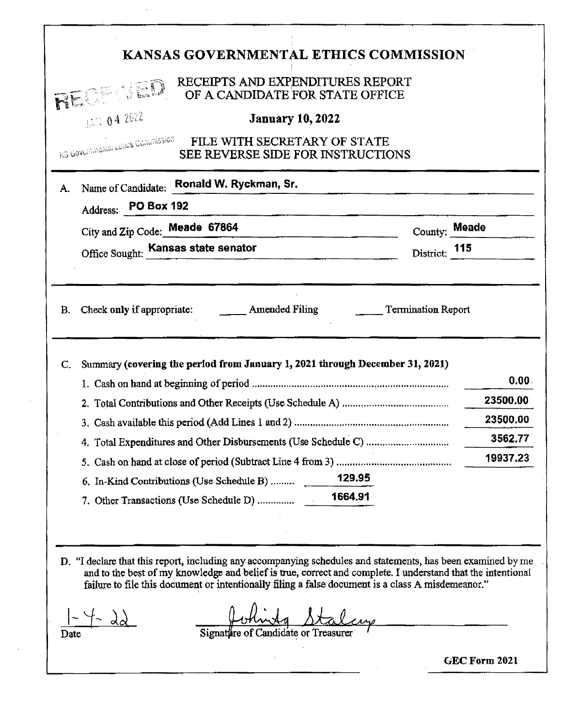| KANSAS GOVERNMENTAL ETHICS COMMISSION                                                                                                                                                                                                                                                                                                                                          |                   |
|--------------------------------------------------------------------------------------------------------------------------------------------------------------------------------------------------------------------------------------------------------------------------------------------------------------------------------------------------------------------------------|-------------------|
| RECEIPTS AND EXPENDITURES REPORT<br><b>REGERIE OF A CANDIDATE FOR STATE OFFICE</b>                                                                                                                                                                                                                                                                                             |                   |
| JAN 04 2022<br><b>January 10, 2022</b>                                                                                                                                                                                                                                                                                                                                         |                   |
| KS Governmental Ethics Commission<br>FILE WITH SECRETARY OF STATE<br>SEE REVERSE SIDE FOR INSTRUCTIONS                                                                                                                                                                                                                                                                         |                   |
| Name of Candidate: Ronald W. Ryckman, Sr.<br>A.                                                                                                                                                                                                                                                                                                                                |                   |
| Address: PO Box 192                                                                                                                                                                                                                                                                                                                                                            |                   |
| City and Zip Code: Meade 67864<br>the control of the control of the control of the control of the control of the control of                                                                                                                                                                                                                                                    | County: Meade     |
| Office Sought: Kansas state senator                                                                                                                                                                                                                                                                                                                                            | District: 115     |
|                                                                                                                                                                                                                                                                                                                                                                                |                   |
| Summary (covering the period from January 1, 2021 through December 31, 2021)<br>C.                                                                                                                                                                                                                                                                                             | 0.00.<br>23500.00 |
|                                                                                                                                                                                                                                                                                                                                                                                | 23500,00          |
|                                                                                                                                                                                                                                                                                                                                                                                | 3562.77           |
|                                                                                                                                                                                                                                                                                                                                                                                | 19937.23          |
| 6. In-Kind Contributions (Use Schedule B)                                                                                                                                                                                                                                                                                                                                      | 129.95            |
|                                                                                                                                                                                                                                                                                                                                                                                | 1664.91           |
|                                                                                                                                                                                                                                                                                                                                                                                |                   |
| D. "I declare that this report, including any accompanying schedules and statements, has been examined by me<br>and to the best of my knowledge and belief is true, correct and complete. I understand that the intentional<br>failure to file this document or intentionally filing a false document is a class A misdemeanor."<br>Signature of Candidate or Treasu<br>1) ate |                   |
|                                                                                                                                                                                                                                                                                                                                                                                | GEC Form 2021     |
|                                                                                                                                                                                                                                                                                                                                                                                |                   |

 $\label{eq:1} \frac{1}{\sqrt{2}}\left(\frac{1}{2}\right)^2\frac{1}{2}\left(\frac{1}{2}\right)^2$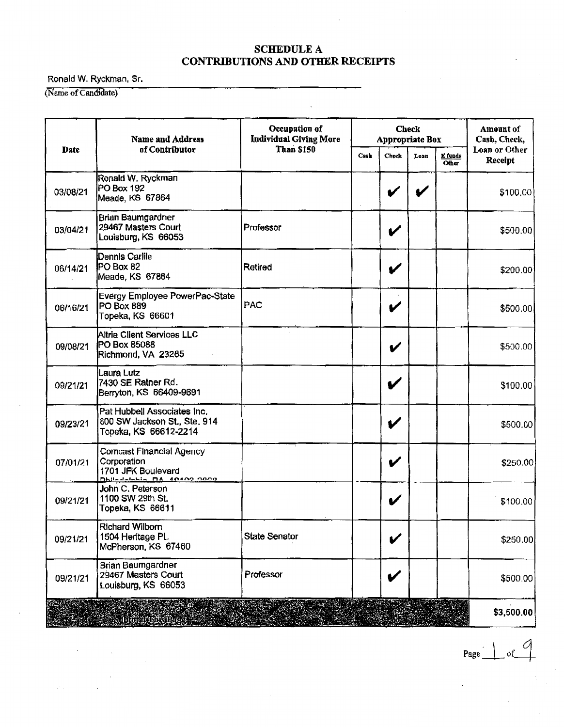#### SCHEDULE A CONTRIBUTIONS AND OTHER RECEIPTS

Ronald W. Ryckman, Sr.

(Name of Candidate)

 $\mathbb{Z}^n$  .

|          | <b>Name and Address</b>                                                                                   | Occupation of<br><b>Individual Giving More</b> | <b>Check</b><br><b>Appropriate Box</b> |                            |      |                     | Amount of<br>Cash, Check, |
|----------|-----------------------------------------------------------------------------------------------------------|------------------------------------------------|----------------------------------------|----------------------------|------|---------------------|---------------------------|
| Date     | of Contributor                                                                                            | <b>Than \$150</b>                              | Cash                                   | Check                      | Loan | E funds<br>$O(\log$ | Loan or Other<br>Receipt  |
| 03/08/21 | Ronald W. Ryckman<br>PO Box 192<br>Meade, KS 67864                                                        |                                                |                                        |                            |      |                     | \$100,00                  |
| 03/04/21 | Brian Baumgardner<br>29467 Masters Court<br>Louisburg, KS 66053                                           | Professor                                      |                                        | V                          |      |                     | \$500,00                  |
| 06/14/21 | Dennis Carlile<br>PO Box 82<br>Meade, KS 67864                                                            | Retired                                        |                                        | V                          |      |                     | \$200.00                  |
| 06/16/21 | Evergy Employee PowerPac-State<br>PO Box 889<br>Topeka, KS 66601                                          | PAC                                            |                                        | V                          |      |                     | \$500.00                  |
| 09/08/21 | Altria Client Services LLC<br>PO Box 85088<br>Richmond, VA 23285                                          |                                                |                                        | V                          |      |                     | \$500.00                  |
| 09/21/21 | Laura Lutz<br>7430 SE Ratner Rd.<br>Berryton, KS 66409-9691                                               |                                                |                                        | V                          |      |                     | \$100.00                  |
| 09/23/21 | Pat Hubbell Associates Inc.<br>800 SW Jackson St., Ste, 914<br>Topeka, KS 66612-2214                      |                                                |                                        | V                          |      |                     | \$500.00                  |
| 07/01/21 | <b>Comcast Financial Agency</b><br>Corporation<br>1701 JFK Boulevard<br><b>Dhiledelphia DA 40400 0000</b> |                                                |                                        | V                          |      |                     | \$250.00                  |
| 09/21/21 | John C. Peterson<br>1100 SW 29th St.<br>Topeka, KS 66611                                                  |                                                |                                        | $\boldsymbol{\mathcal{U}}$ |      |                     | \$100.00                  |
| 09/21/21 | <b>Richard Wilborn</b><br>1504 Heritage PL<br>McPherson, KS 67460                                         | <b>State Senator</b>                           |                                        |                            |      |                     | \$250.00                  |
| 09/21/21 | Brian Baumgardner<br>29467 Masters Court<br>Louisburg, KS 66053                                           | Professor                                      |                                        | V                          |      |                     | \$500.00                  |
|          | abata a 163                                                                                               |                                                |                                        |                            |      |                     | \$3,500.00                |

 $Page \cup of$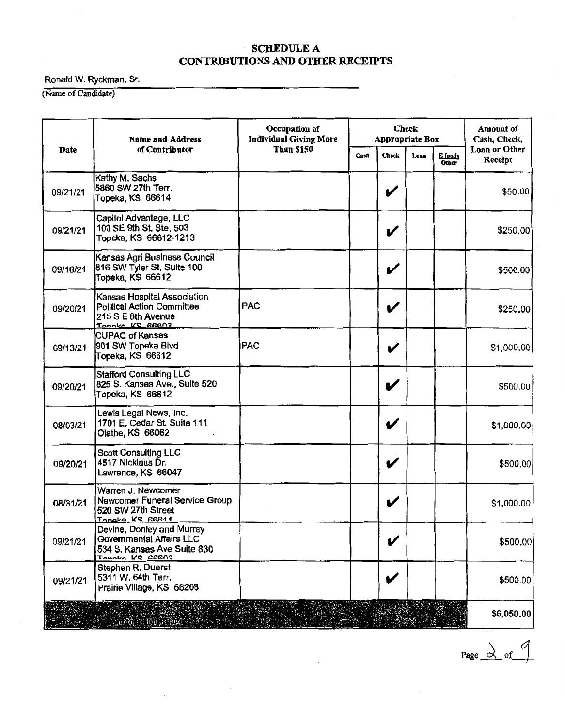#### SCHEDULE A CONTRIBUTIONS AND OTHER RECEIPTS

Ronald W. Ryckman, Sr.

(Name of Candidate)

|          | <b>Name and Address</b>                                                                                   | Occupation of<br><b>Individual Giving More</b> | <b>Check</b><br>Appropriate Box |                            |      |                         | <b>Amount</b> of<br>Cash, Check, |
|----------|-----------------------------------------------------------------------------------------------------------|------------------------------------------------|---------------------------------|----------------------------|------|-------------------------|----------------------------------|
| Date     | of Contributor                                                                                            | <b>Than \$150</b>                              | Cash                            | <b>Check</b>               | Loan | E funds<br><b>Other</b> | Loan or Other<br>Receipt         |
| 09/21/21 | Kathy M. Sachs<br>5860 SW 27th Terr.<br>Topeka, KS 66614                                                  |                                                |                                 | V                          |      |                         | \$50.00                          |
| 09/21/21 | Capitol Advantage, LLC<br>100 SE 9th St. Ste. 503<br>Topeka, KS 66612-1213                                |                                                |                                 | V                          |      |                         | \$250.00                         |
| 09/16/21 | Kansas Agri Business Council<br>816 SW Tyler St, Suite 100<br>Topeka, KS 66612                            |                                                |                                 | V                          |      |                         | \$500,00                         |
| 09/20/21 | Kansas Hospital Association<br>Political Action Committee<br>215 S E 8th Avenue<br><u>Tanaka KC EEEAZ</u> | <b>PAC</b>                                     |                                 | V                          |      |                         | \$250.00                         |
| 09/13/21 | <b>CUPAC of Kansas</b><br>901 SW Topeka Blvd<br>Topeka, KS 66612                                          | <b>PAC</b>                                     |                                 | V                          |      |                         | \$1,000.00                       |
| 09/20/21 | Stafford Consulting LLC<br>825 S. Kansas Ave., Suite 520<br>Topeka, KS 66612                              |                                                |                                 | V                          |      |                         | \$500.00                         |
| 08/03/21 | Lewis Legal News, Inc.<br>1701 E. Cedar St. Suite 111<br>Olathe, KS 66062                                 |                                                |                                 | $\boldsymbol{\mathcal{U}}$ |      |                         | \$1,000.00                       |
| 09/20/21 | <b>Scott Consulting LLC</b><br>4517 Nicklaus Dr.<br>Lawrence, KS 66047                                    |                                                |                                 | V                          |      |                         | \$500.00                         |
| 08/31/21 | Warren J. Newcomer<br>Newcomer Funeral Service Group<br>520 SW 27th Street<br><u>Tonaka KS 66611</u>      |                                                |                                 | V                          |      |                         | \$1,000.00                       |
| 09/21/21 | Devine, Donley and Murray<br>Governmental Affairs LLC<br>534 S. Kansas Ave Suite 830<br>TANALA KE GRANZ   |                                                |                                 |                            |      |                         | \$500.00                         |
| 09/21/21 | Stephen R. Duerst<br>5311 W. 64th Terr.<br>Prairie Village, KS 66208                                      |                                                |                                 | V                          |      |                         | \$500.00                         |
|          | <b>Authel University</b>                                                                                  |                                                |                                 |                            |      |                         | \$6,050.00                       |

Page  $\alpha$  of  $\beta$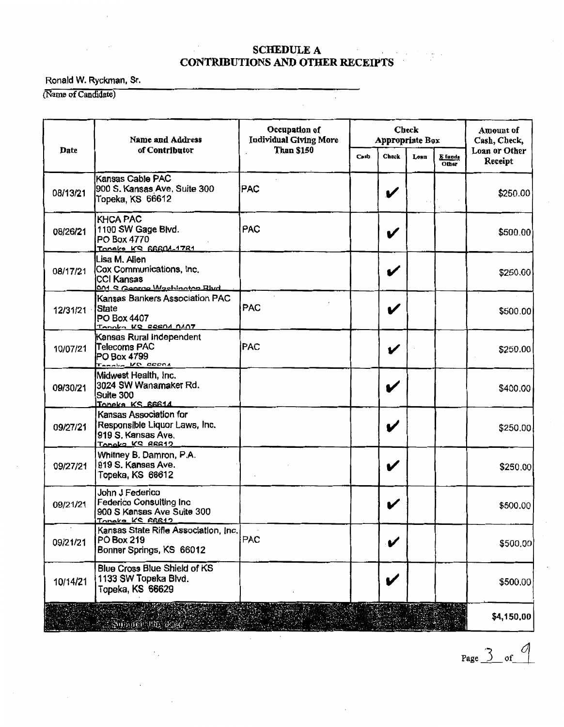#### SCHEDULE A CONTRIBUTIONS AND OTHER RECEIPTS

 $\bar{z}$ 

### Ronald W. Ryckman, Sr.

(Name of Candidate)

|          | <b>Name and Address</b>                                                                             | Occupation of<br><b>Individual Giving More</b> | <b>Check</b><br>Appropriate Box |                  |      | Amount of<br>Cash, Check, |                          |
|----------|-----------------------------------------------------------------------------------------------------|------------------------------------------------|---------------------------------|------------------|------|---------------------------|--------------------------|
| Date     | of Contributor                                                                                      | <b>Than \$150</b>                              | Cash                            | <b>Check</b>     | Loan | E funds<br><b>Other</b>   | Loan or Other<br>Receipt |
| 08/13/21 | Kansas Cable PAC<br>900 S. Kansas Ave, Suite 300<br>Topeka, KS 66612                                | <b>PAC</b>                                     |                                 | V                |      |                           | \$250.00                 |
| 08/26/21 | <b>KHCA PAC</b><br>1100 SW Gage Blvd.<br>PO Box 4770<br>Tonake KS 66604-1781                        | <b>PAC</b>                                     |                                 | $\boldsymbol{v}$ |      |                           | \$500.00                 |
| 08/17/21 | Lisa M. Alien<br>Cox Communications, Inc.<br><b>CCI Kansas</b><br>001 S George Washington Blvd      |                                                |                                 | V                |      |                           | \$250.00                 |
| 12/31/21 | Kansas Barikers Association PAC<br>State<br>PO Box 4407<br>Tanoko KS ERENA NANT                     | PAC                                            |                                 | V                |      |                           | \$500.00                 |
| 10/07/21 | Kansas Rural Independent<br>Telecoms PAC<br>PO Box 4799<br>Tenning VC DECAL                         | <b>PAC</b>                                     |                                 | V                |      |                           | \$250.00                 |
| 09/30/21 | Midwest Health, Inc.<br>3024 SW Wanamaker Rd.<br>Suite 300<br>Toneka KS 66614                       |                                                |                                 | V                |      |                           | \$400.00                 |
| 09/27/21 | Kansas Association for<br>Responsible Liquor Laws, Inc.<br>919 S. Kansas Ave.<br>Tangka KS 88812    |                                                |                                 | V                |      |                           | \$250.00                 |
| 09/27/21 | Whitney B. Damron, P.A.<br>919 S. Kansas Ave.<br>Topeka, KS 66612                                   |                                                |                                 | V                |      |                           | \$250.00                 |
| 09/21/21 | John J Federico<br><b>Federico Consulting Inc.</b><br>900 S Kansas Ave Suite 300<br>Tonaka KC RBB12 |                                                |                                 | V                |      |                           | \$500.00                 |
| 09/21/21 | Kansas State Rifle Association, Inc.<br>PO Box 219<br>Bonner Springs, KS 66012                      | PAC                                            |                                 | V                |      |                           | \$500,00                 |
| 10/14/21 | <b>Blue Cross Blue Shield of KS</b><br>1133 SW Topeka Blvd.<br>Topeka, KS 66629                     |                                                |                                 | V                |      |                           | \$500.00                 |
|          | <b>Should the Base</b>                                                                              |                                                |                                 |                  |      |                           | \$4,150.00               |

Page  $\frac{3}{5}$  of  $\frac{9}{5}$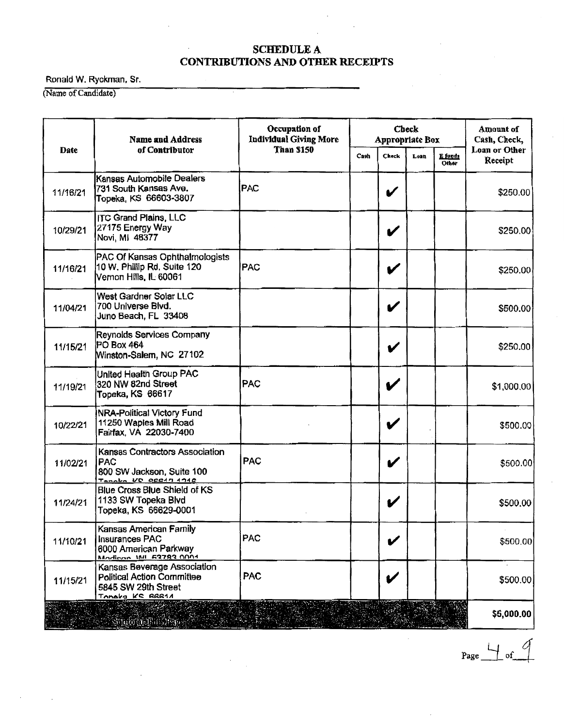#### **SCHEDULE A CONTRIBUTIONS AND OTHER RECEIPTS**

Ronald W. Ryckman, Sr.

(Name of Candidate)

|          | <b>Name and Address</b>                                                                                    | Occupation of<br><b>Individual Giving More</b> | <b>Check</b><br><b>Appropriate Box</b> |       |      |                  | Amount of<br>Cash, Check, |
|----------|------------------------------------------------------------------------------------------------------------|------------------------------------------------|----------------------------------------|-------|------|------------------|---------------------------|
| Date     | of Contributor                                                                                             | <b>Than \$150</b>                              | Cash                                   | Check | Loan | E funds<br>Other | Loan or Other<br>Receipt  |
| 11/16/21 | Kansas Automobile Dealers<br>731 South Kansas Ave.<br>Topeka, KS 66603-3807                                | PAC                                            |                                        | V     |      |                  | \$250.00                  |
| 10/29/21 | <b>ITC Grand Plains, LLC</b><br>27175 Energy Way<br>Novi, MI 48377                                         |                                                |                                        | V     |      |                  | \$250.00                  |
| 11/16/21 | PAC Of Kansas Ophthalmologists<br>10 W. Phillip Rd. Suite 120<br>Vernon Hills, IL 60061                    | <b>PAC</b>                                     |                                        | V     |      |                  | \$250.00                  |
| 11/04/21 | West Gardner Solar LLC<br>700 Universe Blvd.<br>Juno Beach, FL 33408                                       |                                                |                                        | V     |      |                  | \$500.00                  |
| 11/15/21 | Reynolds Services Company<br>PO Box 464<br>Winston-Salem, NC 27102                                         |                                                |                                        | V     |      |                  | \$250.00                  |
| 11/19/21 | United Health Group PAC<br>320 NW 82nd Street<br>Topeka, KS 66617                                          | <b>PAC</b>                                     |                                        | V     |      |                  | \$1,000.00                |
| 10/22/21 | <b>NRA-Political Victory Fund</b><br>11250 Waples Mill Road<br>Fairfax, VA 22030-7400                      |                                                |                                        | V     |      |                  | \$500.00                  |
| 11/02/21 | Kansas Contractors Association<br>PAC<br>800 SW Jackson, Suite 100<br>Tenaba VC BERAN 1918                 | <b>PAC</b>                                     |                                        | V     |      |                  | \$500.00                  |
| 11/24/21 | Blue Cross Blue Shield of KS<br>1133 SW Topeka Blvd<br>Topeka, KS 66629-0001                               |                                                |                                        | V     |      |                  | \$500.00                  |
| 11/10/21 | Kansas American Family<br><b>Insurances PAC</b><br>6000 American Parkway<br>Madison IMI 62782 0001         | PAC                                            |                                        |       |      |                  | \$500.00                  |
| 11/15/21 | Kansas Beverage Association<br><b>Political Action Committee</b><br>5845 SW 29th Street<br>Tonaka KC RRR1A | <b>PAC</b>                                     |                                        | V     |      |                  | \$500.00                  |
|          |                                                                                                            |                                                |                                        |       |      |                  | \$5,000.00                |

 $Page \rightarrow of$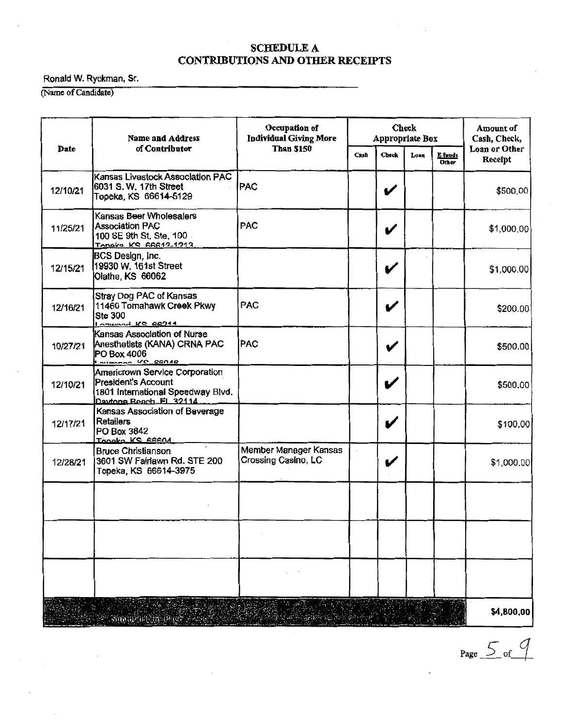# SCHEDULE A<br>CONTRIBUTIONS AND OTHER RECEIPTS

Ronald W. Ryckman, Sr.

(Name of Candidate)

|          | <b>Name and Address</b>                                                                                              | Occupation of<br><b>Individual Giving More</b> | <b>Check</b><br>Appropriate Box |                            |      | <b>Amount of</b><br>Cash, Check, |                          |
|----------|----------------------------------------------------------------------------------------------------------------------|------------------------------------------------|---------------------------------|----------------------------|------|----------------------------------|--------------------------|
| Date     | of Contributor                                                                                                       | <b>Than \$150</b>                              | Cash                            | Check                      | Loan | E funds<br><b>Other</b>          | Loan or Other<br>Receipt |
| 12/10/21 | Kansas Livestock Association PAC<br>6031 S. W. 17th Street<br>Topeka, KS 66614-5129                                  | PAC                                            |                                 | V                          |      |                                  | \$500,00                 |
| 11/25/21 | Kansas Beer Wholesalers<br><b>Association PAC</b><br>100 SE 9th St, Ste, 100<br>Tongka KS RAR12-1213                 | <b>PAC</b>                                     |                                 | V                          |      |                                  | \$1,000.00               |
| 12/15/21 | BCS Design, Inc.<br>19930 W. 161st Street<br>Olathe, KS 66062                                                        |                                                |                                 | V                          |      |                                  | \$1,000.00               |
| 12/16/21 | Stray Dog PAC of Kansas<br>11460 Tomahawk Creek Pkwy<br><b>Ste 300</b><br>DOWNOOD KS 28744                           | PAC                                            |                                 | $\boldsymbol{\mathcal{U}}$ |      |                                  | \$200.00                 |
| 10/27/21 | Kansas Association of Nurse<br>Anesthetists (KANA) CRNA PAC<br>PO Box 4006<br>$\frac{1}{2}$                          | <b>PAC</b>                                     |                                 | V                          |      |                                  | \$500.00                 |
| 12/10/21 | Americrown Service Corporation<br>President's Account<br>1801 International Speedway Blvd.<br>Daytona Beach FL 32114 |                                                |                                 | V                          |      |                                  | \$500.00                 |
| 12/17/21 | Kansas Association of Beverage<br><b>Retailers</b><br>PO Box 3842<br>Topaka KS SSSNA                                 |                                                |                                 | V                          |      |                                  | \$100.00                 |
| 12/28/21 | <b>Bruce Christianson</b><br>3601 SW Fairlawn Rd. STE 200<br>Topeka, KS 66614-3975                                   | Member Manager Kansas<br>Crossing Casino, LC   |                                 | V                          |      |                                  | \$1,000.00               |
|          |                                                                                                                      |                                                |                                 |                            |      |                                  |                          |
|          |                                                                                                                      |                                                |                                 |                            |      |                                  |                          |
|          |                                                                                                                      |                                                |                                 |                            |      |                                  |                          |
|          | Ř<br>.<br>Sangarun Pre                                                                                               |                                                |                                 |                            |      |                                  | \$4,800,00               |

Page  $5$  of  $9$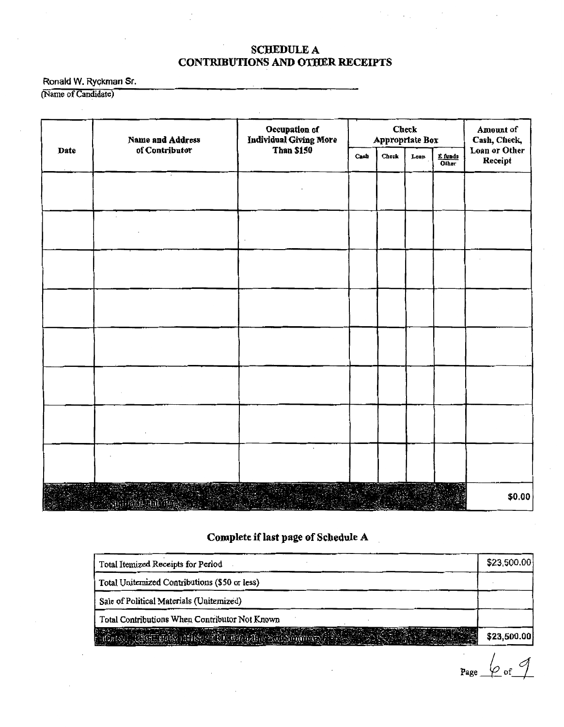#### **SCHEDULE A CONTRIBUTIONS AND OTHER RECEIPTS**

Ronald W. Ryckman Sr.

(Name of Candidate)

|      | Name and Address | Occupation of<br>Individual Giving More | <b>Check</b><br>Appropriate Box |       |      |                                   | Amount of<br>Cash, Check, |
|------|------------------|-----------------------------------------|---------------------------------|-------|------|-----------------------------------|---------------------------|
| Date | of Contributor   | <b>Than \$150</b>                       | Cash                            | Check | Loan | $rac{\text{funds}}{\text{Other}}$ | Loan or Other<br>Receipt  |
|      |                  |                                         |                                 |       |      |                                   |                           |
|      |                  |                                         |                                 |       |      |                                   |                           |
|      |                  |                                         |                                 |       |      |                                   |                           |
|      |                  |                                         |                                 |       |      |                                   |                           |
|      |                  |                                         |                                 |       |      |                                   |                           |
|      |                  |                                         |                                 |       |      |                                   |                           |
|      |                  |                                         |                                 |       |      |                                   |                           |
|      |                  |                                         |                                 |       |      |                                   |                           |
|      |                  |                                         |                                 |       |      |                                   |                           |
|      |                  |                                         |                                 |       |      |                                   |                           |
|      |                  | $\cdot$                                 |                                 |       |      |                                   |                           |
|      |                  |                                         |                                 |       |      |                                   |                           |
|      |                  |                                         |                                 |       |      |                                   | \$0.00                    |

### Complete if last page of Schedule A

| Total Itemized Receipts for Period             | \$23,500.00 |
|------------------------------------------------|-------------|
| Total Uniternized Contributions (\$50 or less) |             |
| Sale of Political Materials (Unitemized)       |             |
| Total Contributions When Contributor Not Known |             |
|                                                | \$23,500.00 |

 $P_{\text{age}}$   $\omega_{\text{of}}$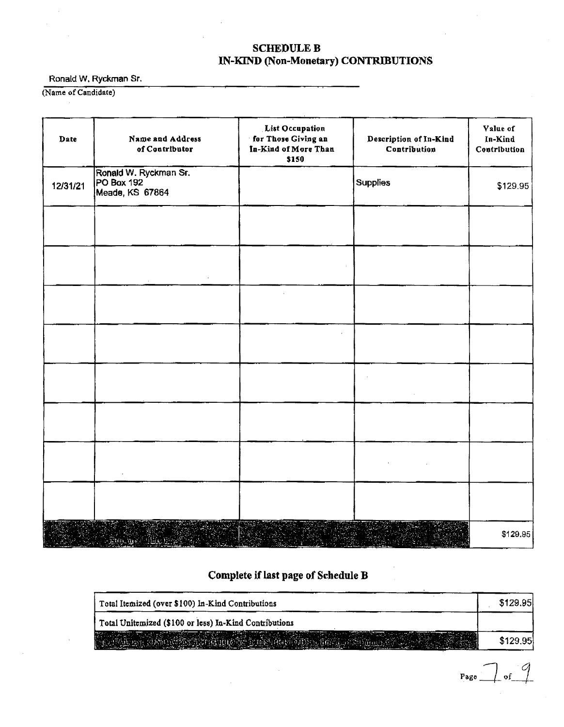#### SCHEDULE B IN-KIND (Non-Monetary) CONTRIBUTIONS

Ronald W. Ryckman Sr.

(Name of Candidate)

| Date     | Name and Address<br>of Contributor                     | List Occupation<br>for Those Giving an<br>In-Kind of More Than<br>\$150 | Description of In-Kind<br>Contribution | Value of<br>In-Kind<br>Contribution |
|----------|--------------------------------------------------------|-------------------------------------------------------------------------|----------------------------------------|-------------------------------------|
| 12/31/21 | Ronald W. Ryckman Sr.<br>PO Box 192<br>Meade, KS 67864 |                                                                         | <b>Supplies</b>                        | \$129.95                            |
|          |                                                        |                                                                         |                                        |                                     |
|          |                                                        |                                                                         |                                        |                                     |
|          |                                                        |                                                                         |                                        |                                     |
|          |                                                        |                                                                         |                                        |                                     |
|          |                                                        |                                                                         |                                        |                                     |
|          |                                                        |                                                                         |                                        |                                     |
|          |                                                        |                                                                         |                                        |                                     |
|          |                                                        |                                                                         |                                        |                                     |
|          | <u>the particular</u>                                  |                                                                         |                                        | \$129.95]                           |

Complete if last page of Schedule B

| Total Itemized (over \$100) In-Kind Contributions      | \$129.95 |
|--------------------------------------------------------|----------|
| Total Unitemized (\$100 or less) In-Kind Contributions |          |
| an as men pentang m                                    | \$129.95 |

 $Page$  of  $9$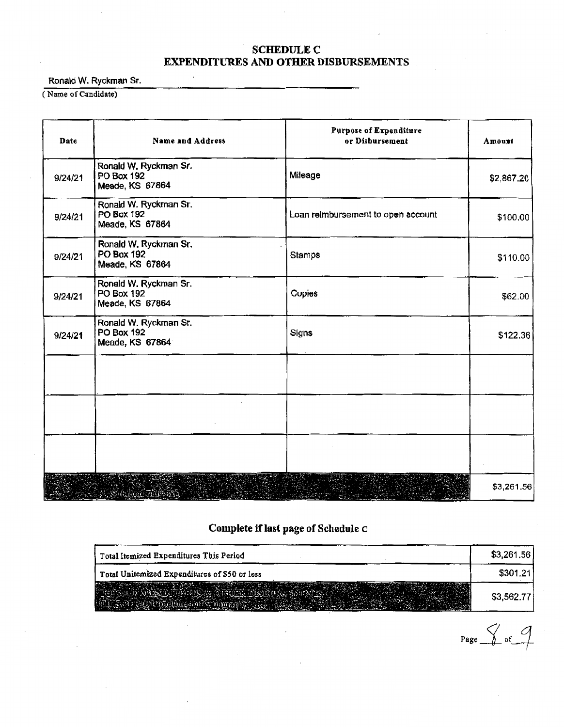#### SCHEDULE C EXPENDITURES AND OfflER DISBURSEMENTS

Ronald W. Ryckman Sr.

( Name of Candidate)

| Date    | Name and Address                                       | <b>Purpose of Expenditure</b><br>or Disbursement | Amount     |
|---------|--------------------------------------------------------|--------------------------------------------------|------------|
| 9/24/21 | Ronald W. Ryckman Sr.<br>PO Box 192<br>Meade, KS 67864 | Mileage                                          | \$2,867.20 |
| 9/24/21 | Ronald W. Ryckman Sr.<br>PO Box 192<br>Meade, KS 67864 | Loan reimbursement to open account               | \$100.00   |
| 9/24/21 | Ronald W. Ryckman Sr.<br>PO Box 192<br>Meade, KS 67864 | <b>Stamps</b>                                    | \$110.00   |
| 9/24/21 | Ronald W. Ryckman Sr.<br>PO Box 192<br>Meade, KS 67864 | Copies                                           | \$62.00    |
| 9/24/21 | Ronald W. Ryckman Sr.<br>PO Box 192<br>Meade, KS 67864 | Signs                                            | \$122.36   |
|         |                                                        |                                                  |            |
|         |                                                        |                                                  |            |
|         |                                                        |                                                  |            |
|         | $\mathcal{A}$ , and the set $\mathcal{A}$              |                                                  | \$3,261.56 |

## Complete if last page of Schedule C

| Total Itemized Expenditures This Period       | \$3,261.56 |
|-----------------------------------------------|------------|
| Total Unitemized Expenditures of \$50 or less | \$301.21   |
|                                               | \$3,562.77 |

 $Pase$  of  $9$